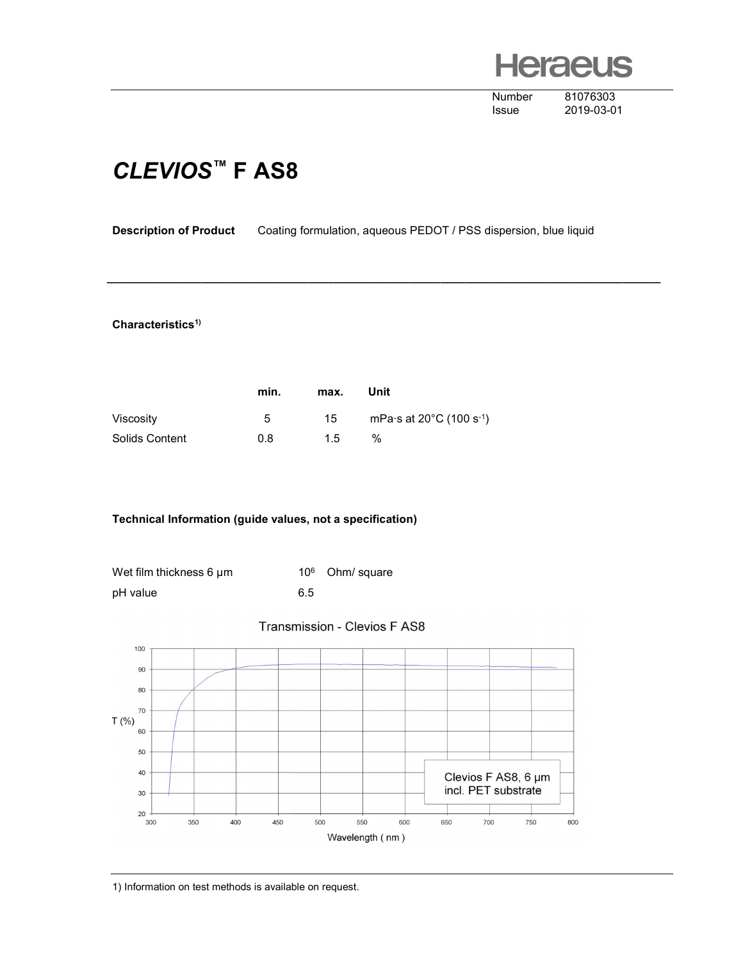**Heraeus** 

Number 81076303

Issue 2019-03-01

# CLEVIOS™ F AS8

### Description of Product Coating formulation, aqueous PEDOT / PSS dispersion, blue liquid

\_\_\_\_\_\_\_\_\_\_\_\_\_\_\_\_\_\_\_\_\_\_\_\_\_\_\_\_\_\_\_\_\_\_\_\_\_\_\_\_\_\_\_\_\_\_\_\_\_\_\_\_\_\_\_\_\_\_\_\_\_\_\_\_\_\_\_\_\_\_\_\_\_\_\_\_\_\_\_\_\_\_\_\_\_\_\_\_

#### Characteristics<sup>1)</sup>

|                | min. | max. | Unit                                              |
|----------------|------|------|---------------------------------------------------|
| Viscosity      | 5    | 15   | mPa $\cdot$ s at 20 $\degree$ C (100 s $\cdot$ 1) |
| Solids Content | 0.8  | 15   | $\frac{0}{6}$                                     |

## Technical Information (guide values, not a specification)

| Wet film thickness 6 µm |     | $106$ Ohm/ square |
|-------------------------|-----|-------------------|
| pH value                | 6.5 |                   |





1) Information on test methods is available on request.